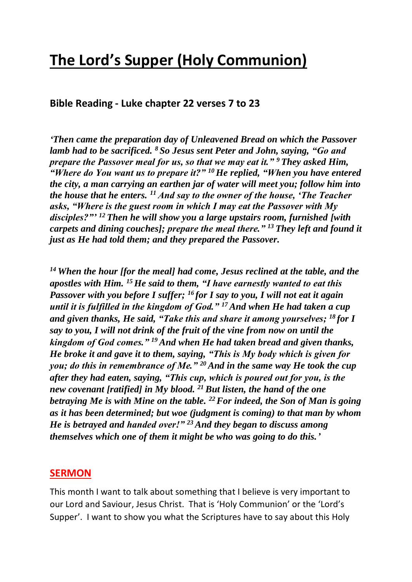# **The Lord's Supper (Holy Communion)**

#### **Bible Reading - Luke chapter 22 verses 7 to 23**

*'Then came the preparation day of Unleavened Bread on which the Passover lamb had to be sacrificed. <sup>8</sup> So Jesus sent Peter and John, saying, "Go and prepare the Passover meal for us, so that we may eat it." <sup>9</sup> They asked Him, "Where do You want us to prepare it?" <sup>10</sup>He replied, "When you have entered the city, a man carrying an earthen jar of water will meet you; follow him into the house that he enters. <sup>11</sup> And say to the owner of the house, 'The Teacher asks, "Where is the guest room in which I may eat the Passover with My disciples?"' <sup>12</sup> Then he will show you a large upstairs room, furnished [with carpets and dining couches]; prepare the meal there." <sup>13</sup> They left and found it just as He had told them; and they prepared the Passover.*

*<sup>14</sup> When the hour [for the meal] had come, Jesus reclined at the table, and the apostles with Him. <sup>15</sup>He said to them, "I have earnestly wanted to eat this Passover with you before I suffer; <sup>16</sup> for I say to you, I will not eat it again until it is fulfilled in the kingdom of God." <sup>17</sup>And when He had taken a cup and given thanks, He said, "Take this and share it among yourselves; <sup>18</sup> for I say to you, I will not drink of the fruit of the vine from now on until the kingdom of God comes." <sup>19</sup> And when He had taken bread and given thanks, He broke it and gave it to them, saying, "This is My body which is given for you; do this in remembrance of Me." <sup>20</sup> And in the same way He took the cup after they had eaten, saying, "This cup, which is poured out for you, is the new covenant [ratified] in My blood. <sup>21</sup> But listen, the hand of the one betraying Me is with Mine on the table. <sup>22</sup>For indeed, the Son of Man is going as it has been determined; but woe (judgment is coming) to that man by whom He is betrayed and handed over!" <sup>23</sup> And they began to discuss among themselves which one of them it might be who was going to do this.'*

#### **SERMON**

This month I want to talk about something that I believe is very important to our Lord and Saviour, Jesus Christ. That is 'Holy Communion' or the 'Lord's Supper'. I want to show you what the Scriptures have to say about this Holy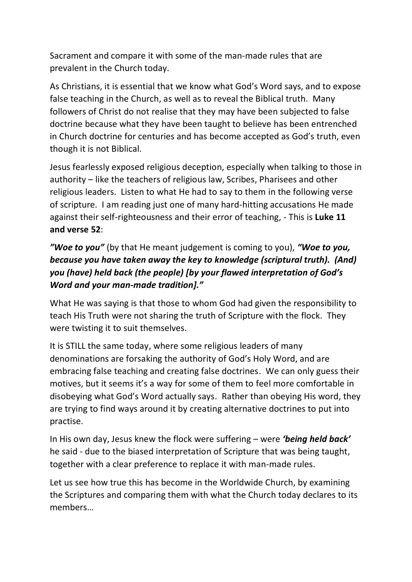Sacrament and compare it with some of the man-made rules that are prevalent in the Church today.

As Christians, it is essential that we know what God's Word says, and to expose false teaching in the Church, as well as to reveal the Biblical truth. Many followers of Christ do not realise that they may have been subjected to false doctrine because what they have been taught to believe has been entrenched in Church doctrine for centuries and has become accepted as God's truth, even though it is not Biblical.

Jesus fearlessly exposed religious deception, especially when talking to those in authority – like the teachers of religious law, Scribes, Pharisees and other religious leaders. Listen to what He had to say to them in the following verse of scripture. I am reading just one of many hard-hitting accusations He made against their self-righteousness and their error of teaching, - This is **Luke 11 and verse 52**:

# *"Woe to you"* (by that He meant judgement is coming to you), *"Woe to you, because you have taken away the key to knowledge (scriptural truth). (And) you (have) held back (the people) [by your flawed interpretation of God's Word and your man-made tradition]."*

What He was saying is that those to whom God had given the responsibility to teach His Truth were not sharing the truth of Scripture with the flock. They were twisting it to suit themselves.

It is STILL the same today, where some religious leaders of many denominations are forsaking the authority of God's Holy Word, and are embracing false teaching and creating false doctrines. We can only guess their motives, but it seems it's a way for some of them to feel more comfortable in disobeying what God's Word actually says. Rather than obeying His word, they are trying to find ways around it by creating alternative doctrines to put into practise.

In His own day, Jesus knew the flock were suffering – were *'being held back'* he said - due to the biased interpretation of Scripture that was being taught, together with a clear preference to replace it with man-made rules.

Let us see how true this has become in the Worldwide Church, by examining the Scriptures and comparing them with what the Church today declares to its members…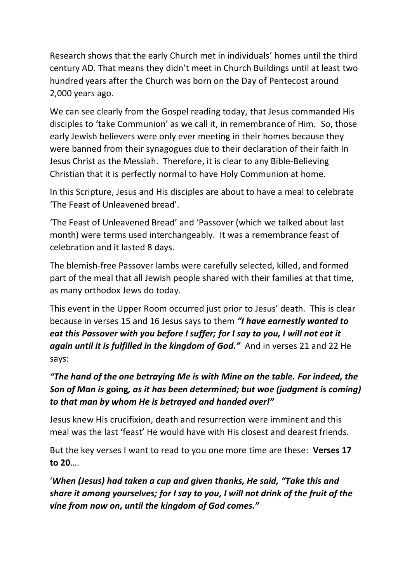Research shows that the early Church met in individuals' homes until the third century AD. That means they didn't meet in Church Buildings until at least two hundred years after the Church was born on the Day of Pentecost around 2,000 years ago.

We can see clearly from the Gospel reading today, that Jesus commanded His disciples to 'take Communion' as we call it, in remembrance of Him. So, those early Jewish believers were only ever meeting in their homes because they were banned from their synagogues due to their declaration of their faith In Jesus Christ as the Messiah. Therefore, it is clear to any Bible-Believing Christian that it is perfectly normal to have Holy Communion at home.

In this Scripture, Jesus and His disciples are about to have a meal to celebrate 'The Feast of Unleavened bread'.

'The Feast of Unleavened Bread' and 'Passover (which we talked about last month) were terms used interchangeably. It was a remembrance feast of celebration and it lasted 8 days.

The blemish-free Passover lambs were carefully selected, killed, and formed part of the meal that all Jewish people shared with their families at that time, as many orthodox Jews do today.

This event in the Upper Room occurred just prior to Jesus' death. This is clear because in verses 15 and 16 Jesus says to them *"I have earnestly wanted to eat this Passover with you before I suffer; for I say to you, I will not eat it again until it is fulfilled in the kingdom of God."* And in verses 21 and 22 He says:

# *"The hand of the one betraying Me is with Mine on the table. For indeed, the Son of Man is* **going***, as it has been determined; but woe (judgment is coming) to that man by whom He is betrayed and handed over!"*

Jesus knew His crucifixion, death and resurrection were imminent and this meal was the last 'feast' He would have with His closest and dearest friends.

But the key verses I want to read to you one more time are these: **Verses 17 to 20**….

'*When (Jesus) had taken a cup and given thanks, He said, "Take this and share it among yourselves; for I say to you, I will not drink of the fruit of the vine from now on, until the kingdom of God comes."*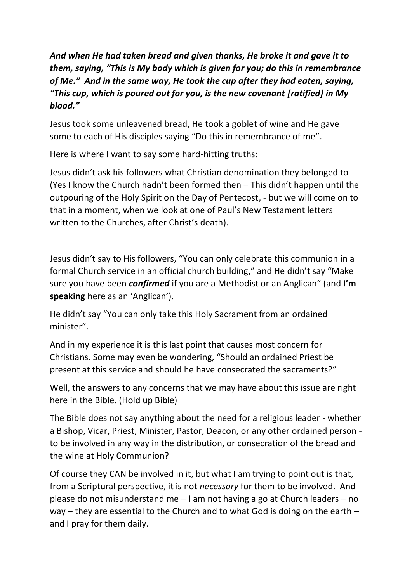# *And when He had taken bread and given thanks, He broke it and gave it to them, saying, "This is My body which is given for you; do this in remembrance of Me." And in the same way, He took the cup after they had eaten, saying, "This cup, which is poured out for you, is the new covenant [ratified] in My blood."*

Jesus took some unleavened bread, He took a goblet of wine and He gave some to each of His disciples saying "Do this in remembrance of me".

Here is where I want to say some hard-hitting truths:

Jesus didn't ask his followers what Christian denomination they belonged to (Yes I know the Church hadn't been formed then – This didn't happen until the outpouring of the Holy Spirit on the Day of Pentecost, - but we will come on to that in a moment, when we look at one of Paul's New Testament letters written to the Churches, after Christ's death).

Jesus didn't say to His followers, "You can only celebrate this communion in a formal Church service in an official church building," and He didn't say "Make sure you have been *confirmed* if you are a Methodist or an Anglican" (and **I'm speaking** here as an 'Anglican').

He didn't say "You can only take this Holy Sacrament from an ordained minister".

And in my experience it is this last point that causes most concern for Christians. Some may even be wondering, "Should an ordained Priest be present at this service and should he have consecrated the sacraments?"

Well, the answers to any concerns that we may have about this issue are right here in the Bible. (Hold up Bible)

The Bible does not say anything about the need for a religious leader - whether a Bishop, Vicar, Priest, Minister, Pastor, Deacon, or any other ordained person to be involved in any way in the distribution, or consecration of the bread and the wine at Holy Communion?

Of course they CAN be involved in it, but what I am trying to point out is that, from a Scriptural perspective, it is not *necessary* for them to be involved. And please do not misunderstand me – I am not having a go at Church leaders – no way – they are essential to the Church and to what God is doing on the earth – and I pray for them daily.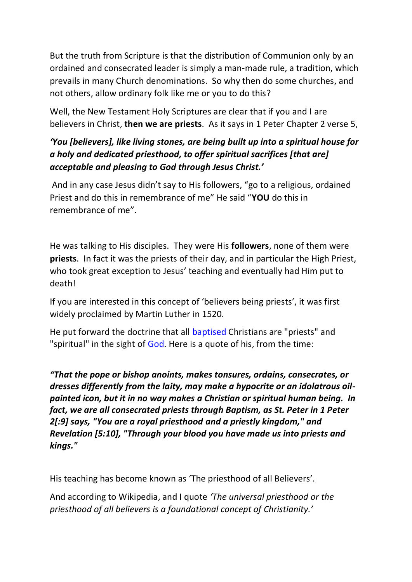But the truth from Scripture is that the distribution of Communion only by an ordained and consecrated leader is simply a man-made rule, a tradition, which prevails in many Church denominations. So why then do some churches, and not others, allow ordinary folk like me or you to do this?

Well, the New Testament Holy Scriptures are clear that if you and I are believers in Christ, **then we are priests**. As it says in 1 Peter Chapter 2 verse 5,

## *'You [believers], like living stones, are being built up into a spiritual house for a holy and dedicated priesthood, to offer spiritual sacrifices [that are] acceptable and pleasing to God through Jesus Christ.'*

And in any case Jesus didn't say to His followers, "go to a religious, ordained Priest and do this in remembrance of me" He said "**YOU** do this in remembrance of me".

He was talking to His disciples. They were His **followers**, none of them were **priests**. In fact it was the priests of their day, and in particular the High Priest, who took great exception to Jesus' teaching and eventually had Him put to death!

If you are interested in this concept of 'believers being priests', it was first widely proclaimed by Martin Luther in 1520.

He put forward the doctrine that all [baptised](https://en.wikipedia.org/wiki/Baptism) Christians are "priests" and "spiritual" in the sight of [God.](https://en.wikipedia.org/wiki/God) Here is a quote of his, from the time:

*"That the pope or bishop anoints, makes tonsures, ordains, consecrates, or dresses differently from the laity, may make a hypocrite or an idolatrous oilpainted icon, but it in no way makes a Christian or spiritual human being. In*  fact, we are all consecrated priests through Baptism, as St. Peter in 1 Peter *2[:9] says, "You are a royal priesthood and a priestly kingdom," and Revelation [5:10], "Through your blood you have made us into priests and kings."*

His teaching has become known as 'The priesthood of all Believers'.

And according to Wikipedia, and I quote *'The universal priesthood or the priesthood of all believers is a foundational concept of Christianity.'*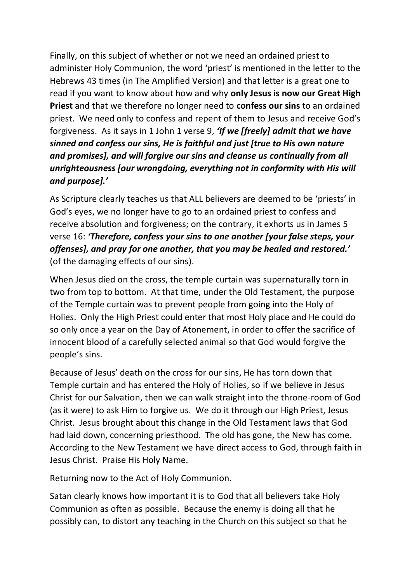Finally, on this subject of whether or not we need an ordained priest to administer Holy Communion, the word 'priest' is mentioned in the letter to the Hebrews 43 times (in The Amplified Version) and that letter is a great one to read if you want to know about how and why **only Jesus is now our Great High Priest** and that we therefore no longer need to **confess our sins** to an ordained priest. We need only to confess and repent of them to Jesus and receive God's forgiveness. As it says in 1 John 1 verse 9, *'If we [freely] admit that we have sinned and confess our sins, He is faithful and just [true to His own nature and promises], and will forgive our sins and cleanse us continually from all unrighteousness [our wrongdoing, everything not in conformity with His will and purpose].'*

As Scripture clearly teaches us that ALL believers are deemed to be 'priests' in God's eyes, we no longer have to go to an ordained priest to confess and receive absolution and forgiveness; on the contrary, it exhorts us in James 5 verse 16: *'Therefore, confess your sins to one another [your false steps, your offenses], and pray for one another, that you may be healed and restored.'* (of the damaging effects of our sins).

When Jesus died on the cross, the temple curtain was supernaturally torn in two from top to bottom. At that time, under the Old Testament, the purpose of the Temple curtain was to prevent people from going into the Holy of Holies. Only the High Priest could enter that most Holy place and He could do so only once a year on the Day of Atonement, in order to offer the sacrifice of innocent blood of a carefully selected animal so that God would forgive the people's sins.

Because of Jesus' death on the cross for our sins, He has torn down that Temple curtain and has entered the Holy of Holies, so if we believe in Jesus Christ for our Salvation, then we can walk straight into the throne-room of God (as it were) to ask Him to forgive us. We do it through our High Priest, Jesus Christ. Jesus brought about this change in the Old Testament laws that God had laid down, concerning priesthood. The old has gone, the New has come. According to the New Testament we have direct access to God, through faith in Jesus Christ. Praise His Holy Name.

Returning now to the Act of Holy Communion.

Satan clearly knows how important it is to God that all believers take Holy Communion as often as possible. Because the enemy is doing all that he possibly can, to distort any teaching in the Church on this subject so that he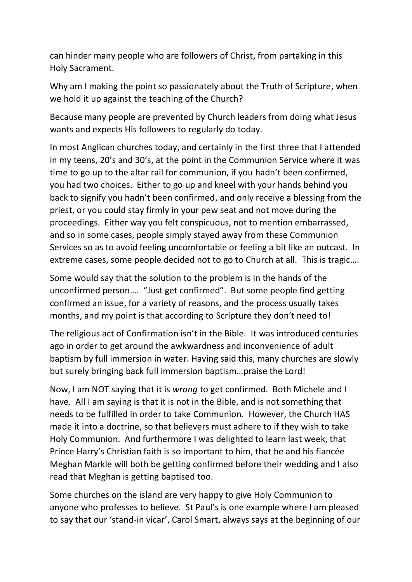can hinder many people who are followers of Christ, from partaking in this Holy Sacrament.

Why am I making the point so passionately about the Truth of Scripture, when we hold it up against the teaching of the Church?

Because many people are prevented by Church leaders from doing what Jesus wants and expects His followers to regularly do today.

In most Anglican churches today, and certainly in the first three that I attended in my teens, 20's and 30's, at the point in the Communion Service where it was time to go up to the altar rail for communion, if you hadn't been confirmed, you had two choices. Either to go up and kneel with your hands behind you back to signify you hadn't been confirmed, and only receive a blessing from the priest, or you could stay firmly in your pew seat and not move during the proceedings. Either way you felt conspicuous, not to mention embarrassed, and so in some cases, people simply stayed away from these Communion Services so as to avoid feeling uncomfortable or feeling a bit like an outcast. In extreme cases, some people decided not to go to Church at all. This is tragic….

Some would say that the solution to the problem is in the hands of the unconfirmed person…. "Just get confirmed". But some people find getting confirmed an issue, for a variety of reasons, and the process usually takes months, and my point is that according to Scripture they don't need to!

The religious act of Confirmation isn't in the Bible. It was introduced centuries ago in order to get around the awkwardness and inconvenience of adult baptism by full immersion in water. Having said this, many churches are slowly but surely bringing back full immersion baptism…praise the Lord!

Now, I am NOT saying that it is *wrong* to get confirmed. Both Michele and I have. All I am saying is that it is not in the Bible, and is not something that needs to be fulfilled in order to take Communion. However, the Church HAS made it into a doctrine, so that believers must adhere to if they wish to take Holy Communion. And furthermore I was delighted to learn last week, that Prince Harry's Christian faith is so important to him, that he and his fiancée Meghan Markle will both be getting confirmed before their wedding and I also read that Meghan is getting baptised too.

Some churches on the island are very happy to give Holy Communion to anyone who professes to believe. St Paul's is one example where I am pleased to say that our 'stand-in vicar', Carol Smart, always says at the beginning of our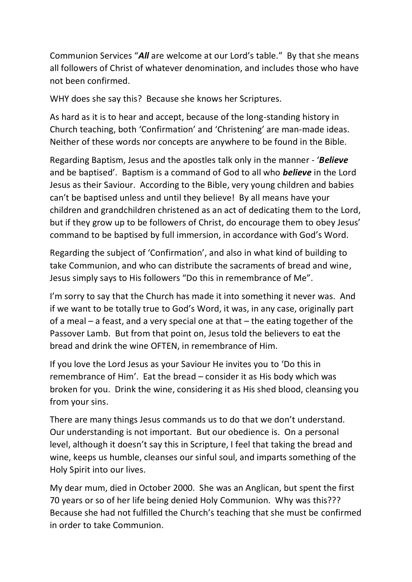Communion Services "*All* are welcome at our Lord's table." By that she means all followers of Christ of whatever denomination, and includes those who have not been confirmed.

WHY does she say this? Because she knows her Scriptures.

As hard as it is to hear and accept, because of the long-standing history in Church teaching, both 'Confirmation' and 'Christening' are man-made ideas. Neither of these words nor concepts are anywhere to be found in the Bible.

Regarding Baptism, Jesus and the apostles talk only in the manner - '*Believe* and be baptised'. Baptism is a command of God to all who *believe* in the Lord Jesus as their Saviour. According to the Bible, very young children and babies can't be baptised unless and until they believe! By all means have your children and grandchildren christened as an act of dedicating them to the Lord, but if they grow up to be followers of Christ, do encourage them to obey Jesus' command to be baptised by full immersion, in accordance with God's Word.

Regarding the subject of 'Confirmation', and also in what kind of building to take Communion, and who can distribute the sacraments of bread and wine, Jesus simply says to His followers "Do this in remembrance of Me".

I'm sorry to say that the Church has made it into something it never was. And if we want to be totally true to God's Word, it was, in any case, originally part of a meal – a feast, and a very special one at that – the eating together of the Passover Lamb. But from that point on, Jesus told the believers to eat the bread and drink the wine OFTEN, in remembrance of Him.

If you love the Lord Jesus as your Saviour He invites you to 'Do this in remembrance of Him'. Eat the bread – consider it as His body which was broken for you. Drink the wine, considering it as His shed blood, cleansing you from your sins.

There are many things Jesus commands us to do that we don't understand. Our understanding is not important. But our obedience is. On a personal level, although it doesn't say this in Scripture, I feel that taking the bread and wine, keeps us humble, cleanses our sinful soul, and imparts something of the Holy Spirit into our lives.

My dear mum, died in October 2000. She was an Anglican, but spent the first 70 years or so of her life being denied Holy Communion. Why was this??? Because she had not fulfilled the Church's teaching that she must be confirmed in order to take Communion.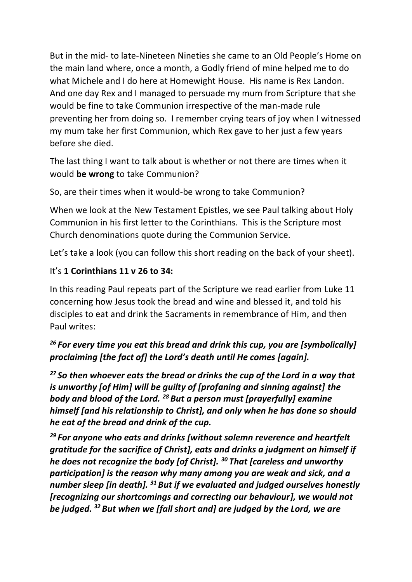But in the mid- to late-Nineteen Nineties she came to an Old People's Home on the main land where, once a month, a Godly friend of mine helped me to do what Michele and I do here at Homewight House. His name is Rex Landon. And one day Rex and I managed to persuade my mum from Scripture that she would be fine to take Communion irrespective of the man-made rule preventing her from doing so. I remember crying tears of joy when I witnessed my mum take her first Communion, which Rex gave to her just a few years before she died.

The last thing I want to talk about is whether or not there are times when it would **be wrong** to take Communion?

So, are their times when it would-be wrong to take Communion?

When we look at the New Testament Epistles, we see Paul talking about Holy Communion in his first letter to the Corinthians. This is the Scripture most Church denominations quote during the Communion Service.

Let's take a look (you can follow this short reading on the back of your sheet).

#### It's **1 Corinthians 11 v 26 to 34:**

In this reading Paul repeats part of the Scripture we read earlier from Luke 11 concerning how Jesus took the bread and wine and blessed it, and told his disciples to eat and drink the Sacraments in remembrance of Him, and then Paul writes:

# *<sup>26</sup> For every time you eat this bread and drink this cup, you are [symbolically] proclaiming [the fact of] the Lord's death until He comes [again].*

*<sup>27</sup> So then whoever eats the bread or drinks the cup of the Lord in a way that is unworthy [of Him] will be guilty of [profaning and sinning against] the body and blood of the Lord. <sup>28</sup> But a person must [prayerfully] examine himself [and his relationship to Christ], and only when he has done so should he eat of the bread and drink of the cup.* 

*<sup>29</sup> For anyone who eats and drinks [without solemn reverence and heartfelt gratitude for the sacrifice of Christ], eats and drinks a judgment on himself if he does not recognize the body [of Christ]. <sup>30</sup> That [careless and unworthy participation] is the reason why many among you are weak and sick, and a number sleep [in death]. <sup>31</sup> But if we evaluated and judged ourselves honestly [recognizing our shortcomings and correcting our behaviour], we would not be judged. <sup>32</sup> But when we [fall short and] are judged by the Lord, we are*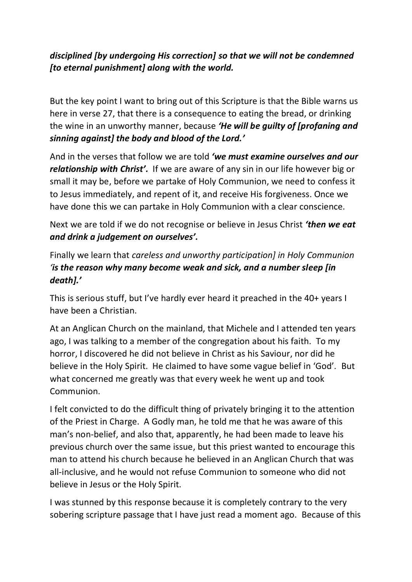#### *disciplined [by undergoing His correction] so that we will not be condemned [to eternal punishment] along with the world.*

But the key point I want to bring out of this Scripture is that the Bible warns us here in verse 27, that there is a consequence to eating the bread, or drinking the wine in an unworthy manner, because *'He will be guilty of [profaning and sinning against] the body and blood of the Lord.'*

And in the verses that follow we are told *'we must examine ourselves and our relationship with Christ'.* If we are aware of any sin in our life however big or small it may be, before we partake of Holy Communion, we need to confess it to Jesus immediately, and repent of it, and receive His forgiveness. Once we have done this we can partake in Holy Communion with a clear conscience.

Next we are told if we do not recognise or believe in Jesus Christ *'then we eat and drink a judgement on ourselves'.* 

Finally we learn that *careless and unworthy participation] in Holy Communion 'is the reason why many become weak and sick, and a number sleep [in death].'*

This is serious stuff, but I've hardly ever heard it preached in the 40+ years I have been a Christian.

At an Anglican Church on the mainland, that Michele and I attended ten years ago, I was talking to a member of the congregation about his faith. To my horror, I discovered he did not believe in Christ as his Saviour, nor did he believe in the Holy Spirit. He claimed to have some vague belief in 'God'. But what concerned me greatly was that every week he went up and took Communion.

I felt convicted to do the difficult thing of privately bringing it to the attention of the Priest in Charge. A Godly man, he told me that he was aware of this man's non-belief, and also that, apparently, he had been made to leave his previous church over the same issue, but this priest wanted to encourage this man to attend his church because he believed in an Anglican Church that was all-inclusive, and he would not refuse Communion to someone who did not believe in Jesus or the Holy Spirit.

I was stunned by this response because it is completely contrary to the very sobering scripture passage that I have just read a moment ago. Because of this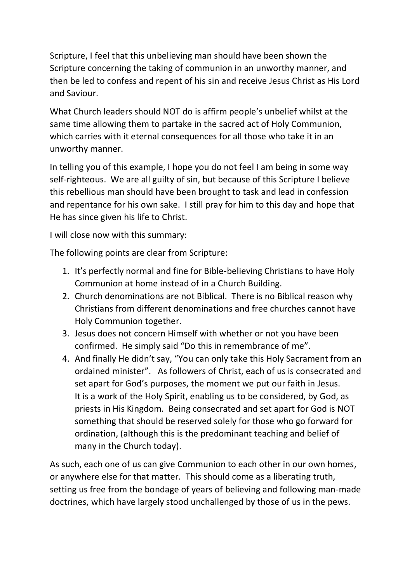Scripture, I feel that this unbelieving man should have been shown the Scripture concerning the taking of communion in an unworthy manner, and then be led to confess and repent of his sin and receive Jesus Christ as His Lord and Saviour.

What Church leaders should NOT do is affirm people's unbelief whilst at the same time allowing them to partake in the sacred act of Holy Communion, which carries with it eternal consequences for all those who take it in an unworthy manner.

In telling you of this example, I hope you do not feel I am being in some way self-righteous. We are all guilty of sin, but because of this Scripture I believe this rebellious man should have been brought to task and lead in confession and repentance for his own sake. I still pray for him to this day and hope that He has since given his life to Christ.

I will close now with this summary:

The following points are clear from Scripture:

- 1. It's perfectly normal and fine for Bible-believing Christians to have Holy Communion at home instead of in a Church Building.
- 2. Church denominations are not Biblical. There is no Biblical reason why Christians from different denominations and free churches cannot have Holy Communion together.
- 3. Jesus does not concern Himself with whether or not you have been confirmed. He simply said "Do this in remembrance of me".
- 4. And finally He didn't say, "You can only take this Holy Sacrament from an ordained minister". As followers of Christ, each of us is consecrated and set apart for God's purposes, the moment we put our faith in Jesus. It is a work of the Holy Spirit, enabling us to be considered, by God, as priests in His Kingdom. Being consecrated and set apart for God is NOT something that should be reserved solely for those who go forward for ordination, (although this is the predominant teaching and belief of many in the Church today).

As such, each one of us can give Communion to each other in our own homes, or anywhere else for that matter. This should come as a liberating truth, setting us free from the bondage of years of believing and following man-made doctrines, which have largely stood unchallenged by those of us in the pews.